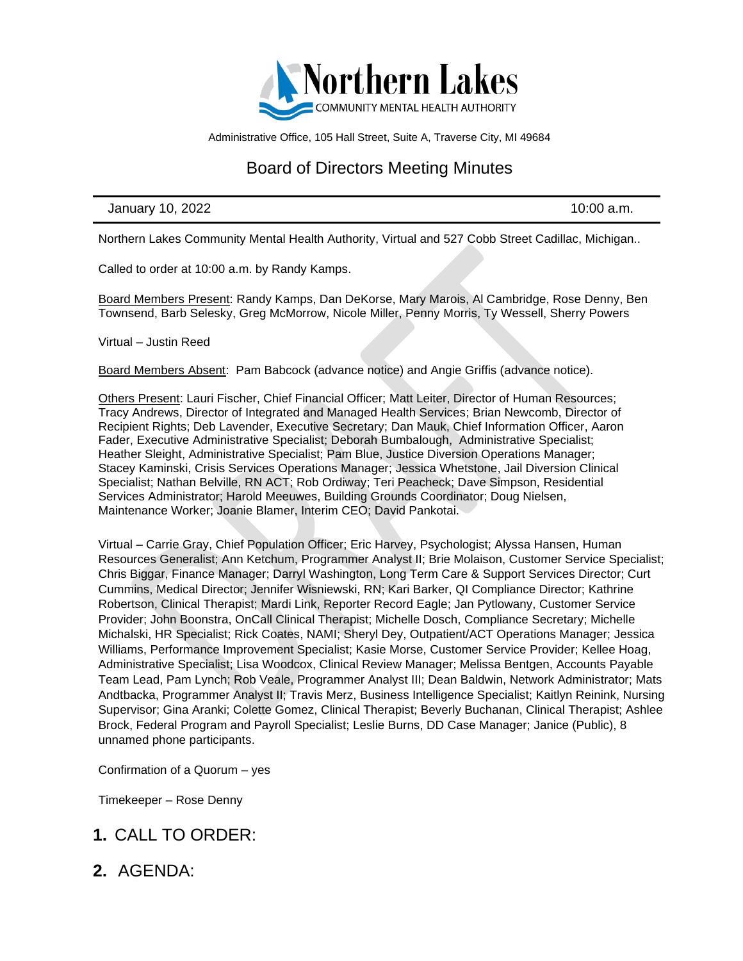

Administrative Office, 105 Hall Street, Suite A, Traverse City, MI 49684

## Board of Directors Meeting Minutes

#### January 10, 2022 **10:00 a.m.**

Northern Lakes Community Mental Health Authority, Virtual and 527 Cobb Street Cadillac, Michigan..

Called to order at 10:00 a.m. by Randy Kamps.

Board Members Present: Randy Kamps, Dan DeKorse, Mary Marois, Al Cambridge, Rose Denny, Ben Townsend, Barb Selesky, Greg McMorrow, Nicole Miller, Penny Morris, Ty Wessell, Sherry Powers

Virtual – Justin Reed

Board Members Absent: Pam Babcock (advance notice) and Angie Griffis (advance notice).

Others Present: Lauri Fischer, Chief Financial Officer; Matt Leiter, Director of Human Resources; Tracy Andrews, Director of Integrated and Managed Health Services; Brian Newcomb, Director of Recipient Rights; Deb Lavender, Executive Secretary; Dan Mauk, Chief Information Officer, Aaron Fader, Executive Administrative Specialist; Deborah Bumbalough, Administrative Specialist; Heather Sleight, Administrative Specialist; Pam Blue, Justice Diversion Operations Manager; Stacey Kaminski, Crisis Services Operations Manager; Jessica Whetstone, Jail Diversion Clinical Specialist; Nathan Belville, RN ACT; Rob Ordiway; Teri Peacheck; Dave Simpson, Residential Services Administrator; Harold Meeuwes, Building Grounds Coordinator; Doug Nielsen, Maintenance Worker; Joanie Blamer, Interim CEO; David Pankotai.

Virtual – Carrie Gray, Chief Population Officer; Eric Harvey, Psychologist; Alyssa Hansen, Human Resources Generalist; Ann Ketchum, Programmer Analyst II; Brie Molaison, Customer Service Specialist; Chris Biggar, Finance Manager; Darryl Washington, Long Term Care & Support Services Director; Curt Cummins, Medical Director; Jennifer Wisniewski, RN; Kari Barker, QI Compliance Director; Kathrine Robertson, Clinical Therapist; Mardi Link, Reporter Record Eagle; Jan Pytlowany, Customer Service Provider; John Boonstra, OnCall Clinical Therapist; Michelle Dosch, Compliance Secretary; Michelle Michalski, HR Specialist; Rick Coates, NAMI; Sheryl Dey, Outpatient/ACT Operations Manager; Jessica Williams, Performance Improvement Specialist; Kasie Morse, Customer Service Provider; Kellee Hoag, Administrative Specialist; Lisa Woodcox, Clinical Review Manager; Melissa Bentgen, Accounts Payable Team Lead, Pam Lynch; Rob Veale, Programmer Analyst III; Dean Baldwin, Network Administrator; Mats Andtbacka, Programmer Analyst II; Travis Merz, Business Intelligence Specialist; Kaitlyn Reinink, Nursing Supervisor; Gina Aranki; Colette Gomez, Clinical Therapist; Beverly Buchanan, Clinical Therapist; Ashlee Brock, Federal Program and Payroll Specialist; Leslie Burns, DD Case Manager; Janice (Public), 8 unnamed phone participants.

Confirmation of a Quorum – yes

Timekeeper – Rose Denny

- **1.** CALL TO ORDER:
- **2.** AGENDA: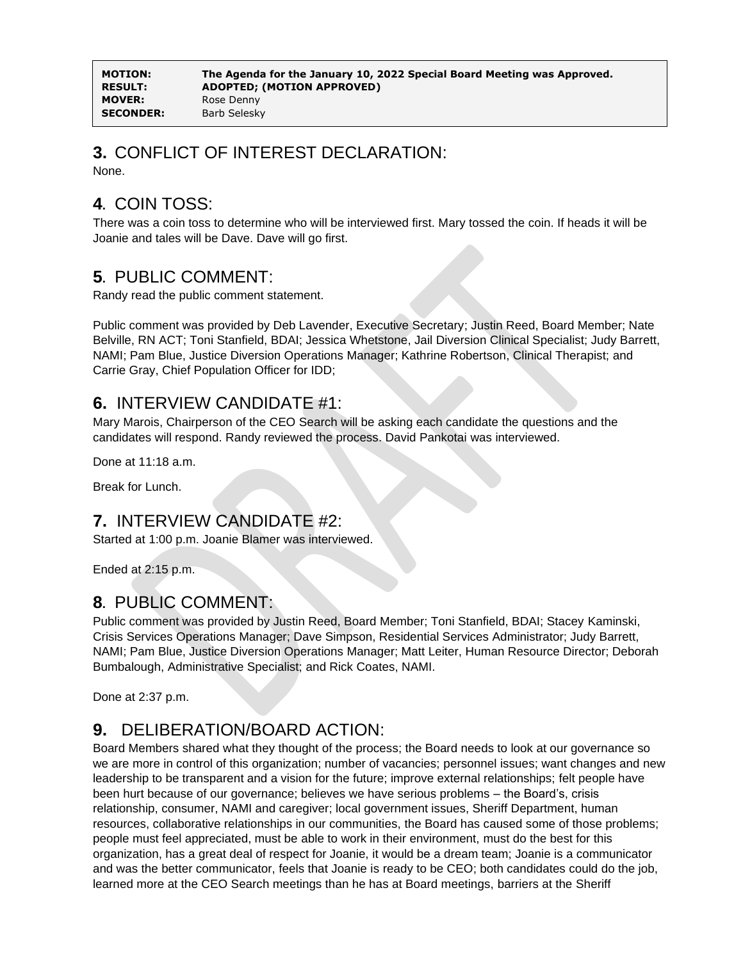**MOVER:** Rose Denny **SECONDER:** Barb Selesky

### **3.** CONFLICT OF INTEREST DECLARATION:

None.

# **4.** COIN TOSS:

There was a coin toss to determine who will be interviewed first. Mary tossed the coin. If heads it will be Joanie and tales will be Dave. Dave will go first.

#### **5.** PUBLIC COMMENT:

Randy read the public comment statement.

Public comment was provided by Deb Lavender, Executive Secretary; Justin Reed, Board Member; Nate Belville, RN ACT; Toni Stanfield, BDAI; Jessica Whetstone, Jail Diversion Clinical Specialist; Judy Barrett, NAMI; Pam Blue, Justice Diversion Operations Manager; Kathrine Robertson, Clinical Therapist; and Carrie Gray, Chief Population Officer for IDD;

#### **6.** INTERVIEW CANDIDATE #1:

Mary Marois, Chairperson of the CEO Search will be asking each candidate the questions and the candidates will respond. Randy reviewed the process. David Pankotai was interviewed.

Done at 11:18 a.m.

Break for Lunch.

#### **7.** INTERVIEW CANDIDATE #2:

Started at 1:00 p.m. Joanie Blamer was interviewed.

Ended at 2:15 p.m.

#### **8.** PUBLIC COMMENT:

Public comment was provided by Justin Reed, Board Member; Toni Stanfield, BDAI; Stacey Kaminski, Crisis Services Operations Manager; Dave Simpson, Residential Services Administrator; Judy Barrett, NAMI; Pam Blue, Justice Diversion Operations Manager; Matt Leiter, Human Resource Director; Deborah Bumbalough, Administrative Specialist; and Rick Coates, NAMI.

Done at 2:37 p.m.

# **9.** DELIBERATION/BOARD ACTION:

Board Members shared what they thought of the process; the Board needs to look at our governance so we are more in control of this organization; number of vacancies; personnel issues; want changes and new leadership to be transparent and a vision for the future; improve external relationships; felt people have been hurt because of our governance; believes we have serious problems – the Board's, crisis relationship, consumer, NAMI and caregiver; local government issues, Sheriff Department, human resources, collaborative relationships in our communities, the Board has caused some of those problems; people must feel appreciated, must be able to work in their environment, must do the best for this organization, has a great deal of respect for Joanie, it would be a dream team; Joanie is a communicator and was the better communicator, feels that Joanie is ready to be CEO; both candidates could do the job, learned more at the CEO Search meetings than he has at Board meetings, barriers at the Sheriff